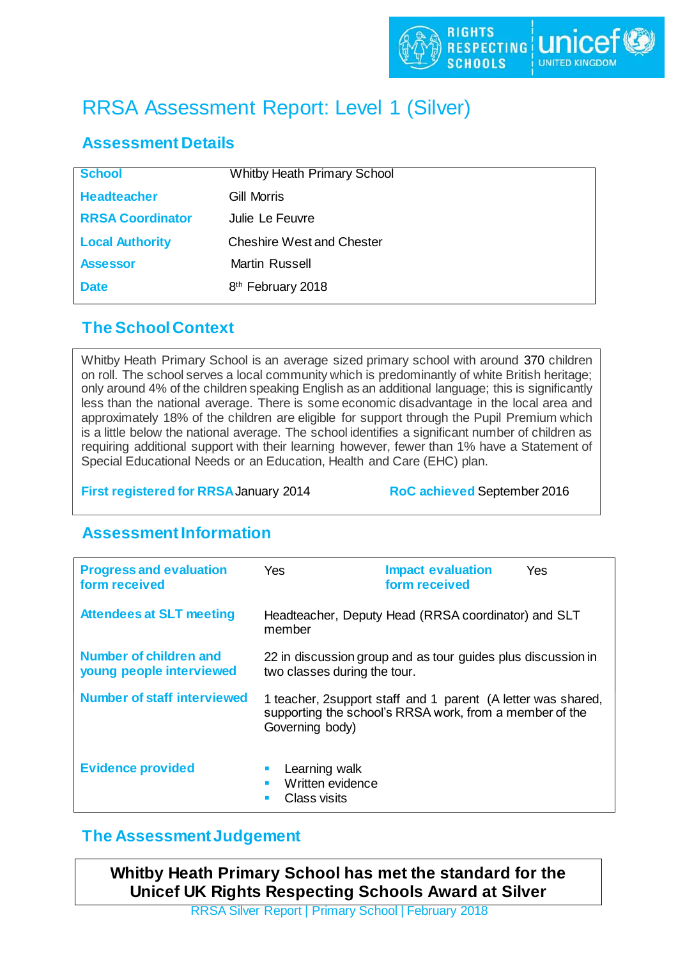# RRSA Assessment Report: Level 1 (Silver)

## **Assessment Details**

| <b>School</b>           | <b>Whitby Heath Primary School</b> |
|-------------------------|------------------------------------|
| <b>Headteacher</b>      | Gill Morris                        |
| <b>RRSA Coordinator</b> | Julie Le Feuvre                    |
| <b>Local Authority</b>  | <b>Cheshire West and Chester</b>   |
| <b>Assessor</b>         | Martin Russell                     |
| <b>Date</b>             | 8 <sup>th</sup> February 2018      |

# **The School Context**

Whitby Heath Primary School is an average sized primary school with around 370 children on roll. The school serves a local community which is predominantly of white British heritage; only around 4% of the children speaking English as an additional language; this is significantly less than the national average. There is some economic disadvantage in the local area and approximately 18% of the children are eligible for support through the Pupil Premium which is a little below the national average. The school identifies a significant number of children as requiring additional support with their learning however, fewer than 1% have a Statement of Special Educational Needs or an Education, Health and Care (EHC) plan.

**First registered for RRSA** January 2014 **RoC achieved** September 2016

# **Assessment Information**

| <b>Progress and evaluation</b><br>form received    | Yes.                                                                                                                                        | <b>Impact evaluation</b><br>form received | Yes |
|----------------------------------------------------|---------------------------------------------------------------------------------------------------------------------------------------------|-------------------------------------------|-----|
| <b>Attendees at SLT meeting</b>                    | Headteacher, Deputy Head (RRSA coordinator) and SLT<br>member                                                                               |                                           |     |
| Number of children and<br>young people interviewed | 22 in discussion group and as tour guides plus discussion in<br>two classes during the tour.                                                |                                           |     |
| Number of staff interviewed                        | 1 teacher, 2 support staff and 1 parent (A letter was shared,<br>supporting the school's RRSA work, from a member of the<br>Governing body) |                                           |     |
| <b>Evidence provided</b>                           | Learning walk<br>Written evidence<br>п<br>Class visits<br>п                                                                                 |                                           |     |

## **The Assessment Judgement**

**Whitby Heath Primary School has met the standard for the Unicef UK Rights Respecting Schools Award at Silver**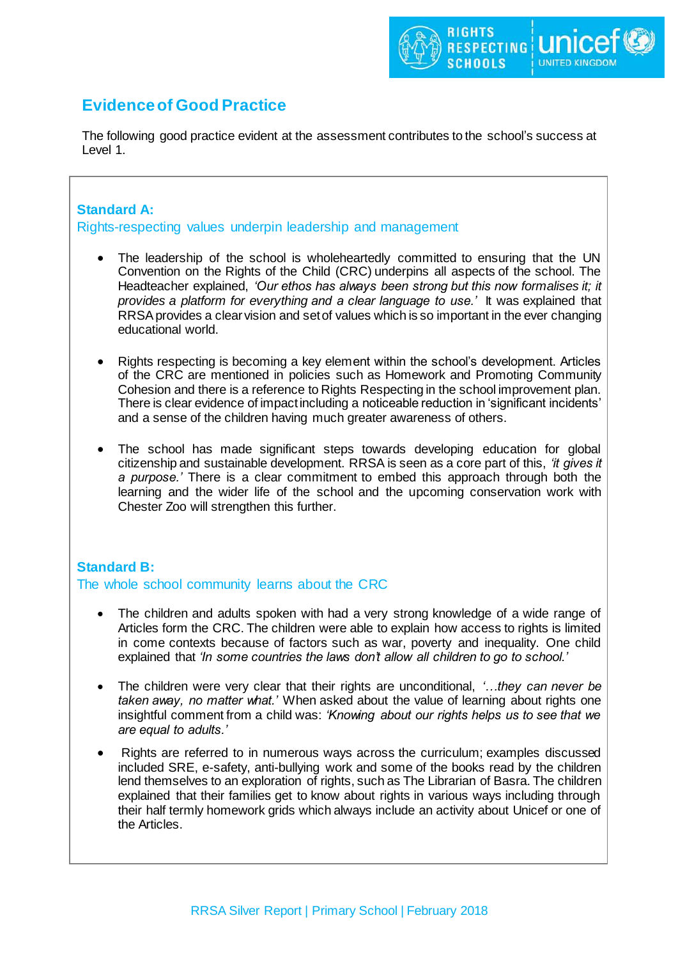# **Evidence of Good Practice**

The following good practice evident at the assessment contributes to the school's success at Level 1.

## **Standard A:**

Rights-respecting values underpin leadership and management

- The leadership of the school is wholeheartedly committed to ensuring that the UN Convention on the Rights of the Child (CRC) underpins all aspects of the school. The Headteacher explained, *'Our ethos has always been strong but this now formalises it; it provides a platform for everything and a clear language to use.'* It was explained that RRSA provides a clear vision and set of values which is so important in the ever changing educational world.
- Rights respecting is becoming a key element within the school's development. Articles of the CRC are mentioned in policies such as Homework and Promoting Community Cohesion and there is a reference to Rights Respecting in the school improvement plan. There is clear evidence of impact including a noticeable reduction in 'significant incidents' and a sense of the children having much greater awareness of others.
- The school has made significant steps towards developing education for global citizenship and sustainable development. RRSA is seen as a core part of this, *'it gives it a purpose.'* There is a clear commitment to embed this approach through both the learning and the wider life of the school and the upcoming conservation work with Chester Zoo will strengthen this further.

## **Standard B:**

The whole school community learns about the CRC

- The children and adults spoken with had a very strong knowledge of a wide range of Articles form the CRC. The children were able to explain how access to rights is limited in come contexts because of factors such as war, poverty and inequality. One child explained that *'In some countries the laws don't allow all children to go to school.'*
- The children were very clear that their rights are unconditional, *'…they can never be taken away, no matter what.'* When asked about the value of learning about rights one insightful comment from a child was: *'Knowing about our rights helps us to see that we are equal to adults.'*
- Rights are referred to in numerous ways across the curriculum; examples discussed included SRE, e-safety, anti-bullying work and some of the books read by the children lend themselves to an exploration of rights, such as The Librarian of Basra. The children explained that their families get to know about rights in various ways including through their half termly homework grids which always include an activity about Unicef or one of the Articles.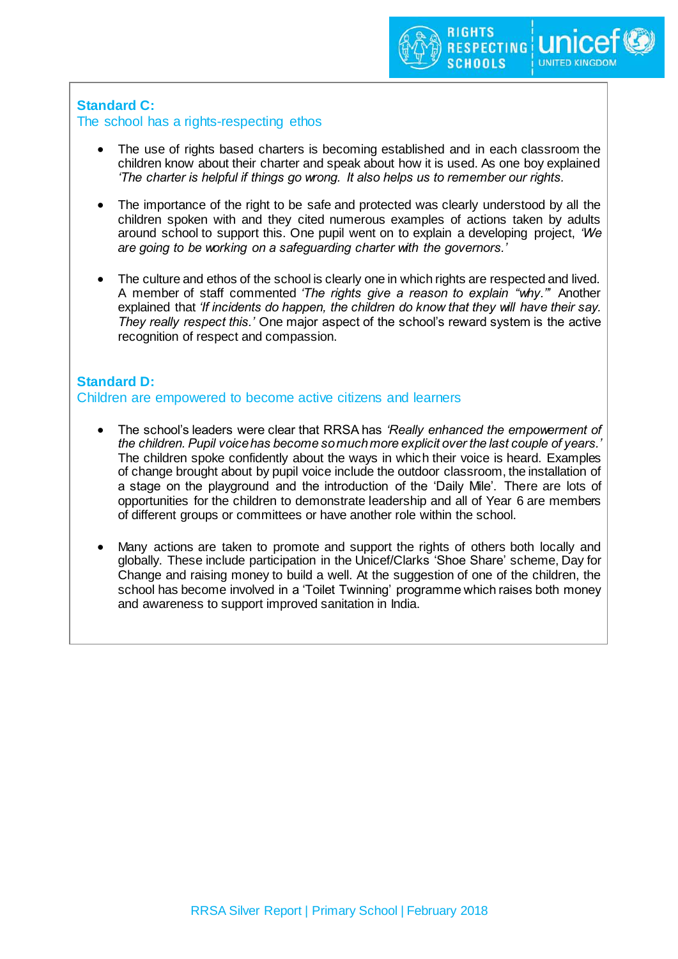## **Standard C:**

#### The school has a rights-respecting ethos

- The use of rights based charters is becoming established and in each classroom the children know about their charter and speak about how it is used. As one boy explained *'The charter is helpful if things go wrong. It also helps us to remember our rights.*
- The importance of the right to be safe and protected was clearly understood by all the children spoken with and they cited numerous examples of actions taken by adults around school to support this. One pupil went on to explain a developing project, *'We are going to be working on a safeguarding charter with the governors.'*
- The culture and ethos of the school is clearly one in which rights are respected and lived. A member of staff commented *'The rights give a reason to explain "why."'* Another explained that *'If incidents do happen, the children do know that they will have their say. They really respect this.'* One major aspect of the school's reward system is the active recognition of respect and compassion.

## **Standard D:**

Children are empowered to become active citizens and learners

- The school's leaders were clear that RRSA has *'Really enhanced the empowerment of the children. Pupil voice has become so much more explicit over the last couple of years.'* The children spoke confidently about the ways in which their voice is heard. Examples of change brought about by pupil voice include the outdoor classroom, the installation of a stage on the playground and the introduction of the 'Daily Mile'. There are lots of opportunities for the children to demonstrate leadership and all of Year 6 are members of different groups or committees or have another role within the school.
- Many actions are taken to promote and support the rights of others both locally and globally. These include participation in the Unicef/Clarks 'Shoe Share' scheme, Day for Change and raising money to build a well. At the suggestion of one of the children, the school has become involved in a 'Toilet Twinning' programme which raises both money and awareness to support improved sanitation in India.